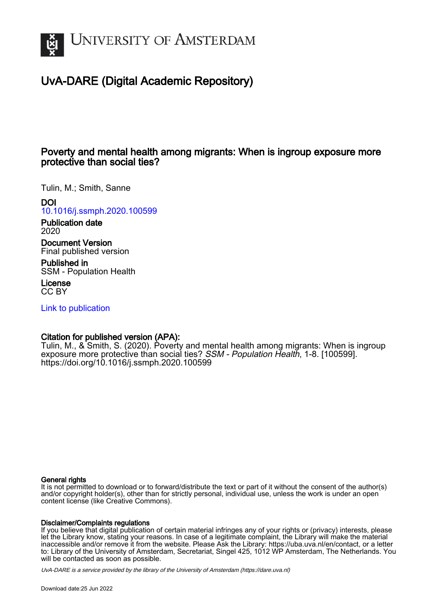

# UvA-DARE (Digital Academic Repository)

# Poverty and mental health among migrants: When is ingroup exposure more protective than social ties?

Tulin, M.; Smith, Sanne

DOI

[10.1016/j.ssmph.2020.100599](https://doi.org/10.1016/j.ssmph.2020.100599)

Publication date 2020

Document Version Final published version

Published in SSM - Population Health

License CC BY

[Link to publication](https://dare.uva.nl/personal/pure/en/publications/poverty-and-mental-health-among-migrants-when-is-ingroup-exposure-more-protective-than-social-ties(7a750241-fb1f-4205-b2c1-03386f76bd12).html)

# Citation for published version (APA):

Tulin, M., & Smith, S. (2020). Poverty and mental health among migrants: When is ingroup exposure more protective than social ties? SSM - Population Health, 1-8. [100599]. <https://doi.org/10.1016/j.ssmph.2020.100599>

# General rights

It is not permitted to download or to forward/distribute the text or part of it without the consent of the author(s) and/or copyright holder(s), other than for strictly personal, individual use, unless the work is under an open content license (like Creative Commons).

# Disclaimer/Complaints regulations

If you believe that digital publication of certain material infringes any of your rights or (privacy) interests, please let the Library know, stating your reasons. In case of a legitimate complaint, the Library will make the material inaccessible and/or remove it from the website. Please Ask the Library: https://uba.uva.nl/en/contact, or a letter to: Library of the University of Amsterdam, Secretariat, Singel 425, 1012 WP Amsterdam, The Netherlands. You will be contacted as soon as possible.

UvA-DARE is a service provided by the library of the University of Amsterdam (http*s*://dare.uva.nl)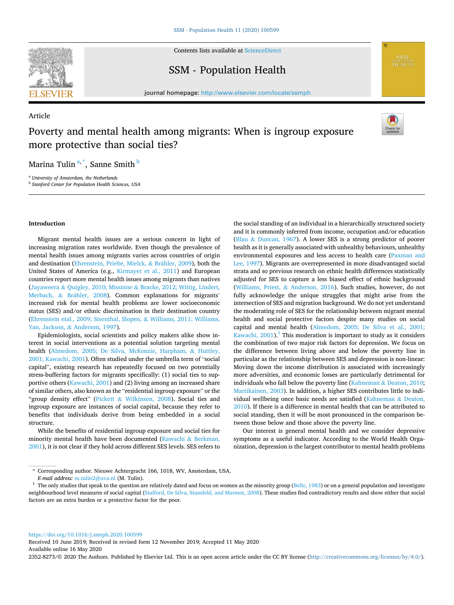

Article

Contents lists available at [ScienceDirect](www.sciencedirect.com/science/journal/23528273)

# SSM - Population Health



journal homepage: [http://www.elsevier.com/locate/ssmph](https://http://www.elsevier.com/locate/ssmph) 

# Poverty and mental health among migrants: When is ingroup exposure more protective than social ties?



Marina Tulin<sup>a,\*</sup>, Sanne Smith <sup>b</sup>

<sup>a</sup> *University of Amsterdam, the Netherlands* <sup>b</sup> *Stanford Center for Population Health Sciences, USA* 

# **Introduction**

Migrant mental health issues are a serious concern in light of increasing migration rates worldwide. Even though the prevalence of mental health issues among migrants varies across countries of origin and destination ([Ehrenstein, Priebe, Mielck,](#page-7-0) & Brähler, 2009), both the United States of America (e.g., [Kirmayer et al., 2011](#page-8-0)) and European countries report more mental health issues among migrants than natives (Jayaweera & Quigley, 2010; Missinne & [Bracke, 2012; Wittig, Lindert,](#page-7-0)  [Merbach,](#page-7-0) & Brähler, 2008). Common explanations for migrants' increased risk for mental health problems are lower socioeconomic status (SES) and/or ethnic discrimination in their destination country ([Ehrenstein etal., 2009; Sternthal, Slopen,](#page-7-0) & Williams, 2011; Williams, Yan, Jackson, & [Anderson, 1997\)](#page-7-0).

Epidemiologists, social scientists and policy makers alike show interest in social interventions as a potential solution targeting mental health [\(Almedom, 2005; De Silva, McKenzie, Harpham,](#page-7-0) & Huttley, [2001; Kawachi, 2001](#page-7-0)). Often studied under the umbrella term of "social capital", existing research has repeatedly focused on two potentially stress-buffering factors for migrants specifically: (1) social ties to supportive others ([Kawachi, 2001\)](#page-8-0) and (2) living among an increased share of similar others, also known as the "residential ingroup exposure" or the "group density effect" (Pickett & [Wilkinson, 2008\)](#page-8-0). Social ties and ingroup exposure are instances of social capital, because they refer to benefits that individuals derive from being embedded in a social structure.

While the benefits of residential ingroup exposure and social ties for minority mental health have been documented (Kawachi & [Berkman,](#page-8-0)  [2001\)](#page-8-0), it is not clear if they hold across different SES levels. SES refers to the social standing of an individual in a hierarchically structured society and it is commonly inferred from income, occupation and/or education (Blau & [Duncan, 1967](#page-7-0)). A lower SES is a strong predictor of poorer health as it is generally associated with unhealthy behaviours, unhealthy environmental exposures and less access to health care [\(Paxman and](#page-8-0)  [Lee, 1997](#page-8-0)). Migrants are overrepresented in more disadvantaged social strata and so previous research on ethnic health differences statistically adjusted for SES to capture a less biased effect of ethnic background ([Williams, Priest,](#page-8-0) & Anderson, 2016). Such studies, however, do not fully acknowledge the unique struggles that might arise from the intersection of SES and migration background. We do not yet understand the moderating role of SES for the relationship between migrant mental health and social protective factors despite many studies on social capital and mental health ([Almedom, 2005; De Silva et al., 2001;](#page-7-0)  Kawachi,  $2001$ ).<sup>1</sup> This moderation is important to study as it considers the combination of two major risk factors for depression. We focus on the difference between living above and below the poverty line in particular as the relationship between SES and depression is non-linear: Moving down the income distribution is associated with increasingly more adversities, and economic losses are particularly detrimental for individuals who fall below the poverty line (Kahneman & [Deaton, 2010](#page-8-0); [Martikainen, 2003](#page-8-0)). In addition, a higher SES contributes little to individual wellbeing once basic needs are satisfied ([Kahneman](#page-8-0) & Deaton, [2010\)](#page-8-0). If there is a difference in mental health that can be attributed to social standing, then it will be most pronounced in the comparison between those below and those above the poverty line.

Our interest is general mental health and we consider depressive symptoms as a useful indicator. According to the World Health Organization, depression is the largest contributor to mental health problems

<https://doi.org/10.1016/j.ssmph.2020.100599>

Available online 16 May 2020 Received 10 June 2019; Received in revised form 12 November 2019; Accepted 11 May 2020

2352-8273/© 2020 The Authors. Published by Elsevier Ltd. This is an open access article under the CC BY license [\(http://creativecommons.org/licenses/by/4.0/\)](http://creativecommons.org/licenses/by/4.0/).

<sup>\*</sup> Corresponding author. Nieuwe Achtergracht 166, 1018, WV, Amsterdam, USA.

*E-mail address:* [m.tulin2@uva.nl](mailto:m.tulin2@uva.nl) (M. Tulin). 1 The only studies that speak to the question are relatively dated and focus on women as the minority group [\(Belle, 1983\)](#page-7-0) or on a general population and investigate neighbourhood level measures of social capital [\(Stafford, De Silva, Stansfeld, and Marmot, 2008](#page-8-0)). These studies find contradictory results and show either that social factors are an extra burden or a protective factor for the poor.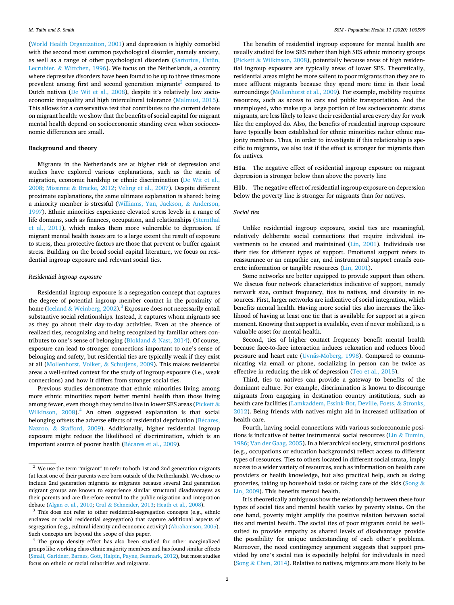([World Health Organization, 2001](#page-8-0)) and depression is highly comorbid with the second most common psychological disorder, namely anxiety, as well as a range of other psychological disorders ([Sartorius, Üstün,](#page-8-0)  Lecrubier, & [Wittchen, 1996](#page-8-0)). We focus on the Netherlands, a country where depressive disorders have been found to be up to three times more prevalent among first and second generation migrants<sup>2</sup> compared to Dutch natives [\(De Wit et al., 2008](#page-7-0)), despite it's relatively low socioeconomic inequality and high intercultural tolerance [\(Malmusi, 2015](#page-8-0)). This allows for a conservative test that contributes to the current debate on migrant health: we show that the benefits of social capital for migrant mental health depend on socioeconomic standing even when socioeconomic differences are small.

#### **Background and theory**

Migrants in the Netherlands are at higher risk of depression and studies have explored various explanations, such as the strain of migration, economic hardship or ethnic discrimination [\(De Wit et al.,](#page-7-0)  [2008;](#page-7-0) Missinne & [Bracke, 2012](#page-8-0); [Veling et al., 2007\)](#page-8-0). Despite different proximate explanations, the same ultimate explanation is shared: being a minority member is stressful ([Williams, Yan, Jackson,](#page-8-0) & Anderson, [1997\)](#page-8-0). Ethnic minorities experience elevated stress levels in a range of life domains, such as finances, occupation, and relationships ([Sternthal](#page-8-0)  [et al., 2011](#page-8-0)), which makes them more vulnerable to depression. If migrant mental health issues are to a large extent the result of exposure to stress, then protective factors are those that prevent or buffer against stress. Building on the broad social capital literature, we focus on residential ingroup exposure and relevant social ties.

#### *Residential ingroup exposure*

Residential ingroup exposure is a segregation concept that captures the degree of potential ingroup member contact in the proximity of home (Iceland & [Weinberg, 2002](#page-7-0)).<sup>3</sup> Exposure does not necessarily entail substantive social relationships. Instead, it captures whom migrants see as they go about their day-to-day activities. Even at the absence of realized ties, recognizing and being recognized by familiar others contributes to one's sense of belonging (Blokland  $\&$  [Nast, 2014\)](#page-7-0). Of course, exposure can lead to stronger connections important to one's sense of belonging and safety, but residential ties are typically weak if they exist at all [\(Mollenhorst, Volker,](#page-8-0) & Schutjens, 2009). This makes residential areas a well-suited context for the study of ingroup exposure (i.e., weak connections) and how it differs from stronger social ties.

Previous studies demonstrate that ethnic minorities living among more ethnic minorities report better mental health than those living among fewer, even though they tend to live in lower SES areas ([Pickett](#page-8-0)  $\&$ [Wilkinson, 2008\)](#page-8-0).<sup>4</sup> An often suggested explanation is that social belonging offsets the adverse effects of residential deprivation (Bécares, Nazroo, & [Stafford, 2009\)](#page-7-0). Additionally, higher residential ingroup exposure might reduce the likelihood of discrimination, which is an important source of poorer health (Bécares et al., 2009).

The benefits of residential ingroup exposure for mental health are usually studied for low SES rather than high SES ethnic minority groups (Pickett & [Wilkinson, 2008](#page-8-0)), potentially because areas of high residential ingroup exposure are typically areas of lower SES. Theoretically, residential areas might be more salient to poor migrants than they are to more affluent migrants because they spend more time in their local surroundings ([Mollenhorst et al., 2009](#page-8-0)). For example, mobility requires resources, such as access to cars and public transportation. And the unemployed, who make up a large portion of low socioeconomic status migrants, are less likely to leave their residential area every day for work like the employed do. Also, the benefits of residential ingroup exposure have typically been established for ethnic minorities rather ethnic majority members. Thus, in order to investigate if this relationship is specific to migrants, we also test if the effect is stronger for migrants than for natives.

**H1a**. The negative effect of residential ingroup exposure on migrant depression is stronger below than above the poverty line

**H1b**. The negative effect of residential ingroup exposure on depression below the poverty line is stronger for migrants than for natives.

#### *Social ties*

Unlike residential ingroup exposure, social ties are meaningful, relatively deliberate social connections that require individual investments to be created and maintained ([Lin, 2001\)](#page-8-0). Individuals use their ties for different types of support. Emotional support refers to reassurance or an empathic ear, and instrumental support entails concrete information or tangible resources ([Lin, 2001](#page-8-0)).

Some networks are better equipped to provide support than others. We discuss four network characteristics indicative of support, namely network size, contact frequency, ties to natives, and diversity in resources. First, larger networks are indicative of social integration, which benefits mental health. Having more social ties also increases the likelihood of having at least one tie that is available for support at a given moment. Knowing that support is available, even if never mobilized, is a valuable asset for mental health.

Second, ties of higher contact frequency benefit mental health because face-to-face interaction induces relaxation and reduces blood pressure and heart rate (Uvnäs-Moberg, 1998). Compared to communicating via email or phone, socializing in person can be twice as effective in reducing the risk of depression ([Teo et al., 2015](#page-8-0)).

Third, ties to natives can provide a gateway to benefits of the dominant culture. For example, discrimination is known to discourage migrants from engaging in destination country institutions, such as health care facilities ([Lamkaddem, Essink-Bot, Deville, Foets,](#page-8-0) & Stronks, [2012\)](#page-8-0). Being friends with natives might aid in increased utilization of health care.

Fourth, having social connections with various socioeconomic positions is indicative of better instrumental social resources (Lin  $&$  Dumin, [1986; Van der Gaag, 2005\)](#page-8-0). In a hierarchical society, structural positions (e.g., occupations or education backgrounds) reflect access to different types of resources. Ties to others located in different social strata, imply access to a wider variety of resources, such as information on health care providers or health knowledge, but also practical help, such as doing groceries, taking up household tasks or taking care of the kids ([Song](#page-8-0) & [Lin, 2009](#page-8-0)). This benefits mental health.

It is theoretically ambiguous how the relationship between these four types of social ties and mental health varies by poverty status. On the one hand, poverty might amplify the positive relation between social ties and mental health. The social ties of poor migrants could be wellsuited to provide empathy as shared levels of disadvantage provide the possibility for unique understanding of each other's problems. Moreover, the need contingency argument suggests that support provided by one's social ties is especially helpful for individuals in need (Song  $&$  [Chen, 2014\)](#page-8-0). Relative to natives, migrants are more likely to be

<sup>&</sup>lt;sup>2</sup> We use the term "migrant" to refer to both 1st and 2nd generation migrants (at least one of their parents were born outside of the Netherlands). We chose to include 2nd generation migrants as migrants because several 2nd generation migrant groups are known to experience similar structural disadvantages as their parents and are therefore central to the public migration and integration debate (Algan et al., 2010; Crul & Schneider, 2013; Heath et al., 2008).

 $3$  This does not refer to other residential-segregation concepts (e.g., ethnic enclaves or racial residential segregation) that capture additional aspects of segregation (e.g., cultural identity and economic activity) ([Abrahamson, 2005\)](#page-7-0).<br>Such concepts are beyond the scope of this paper.

<sup>&</sup>lt;sup>4</sup> The group density effect has also been studied for other marginalized groups like working class ethnic majority members and has found similar effects [\(Small, Garidner, Barnes, Gott, Halpin, Payne, Seamark, 2012](#page-8-0)), but most studies focus on ethnic or racial minorities and migrants.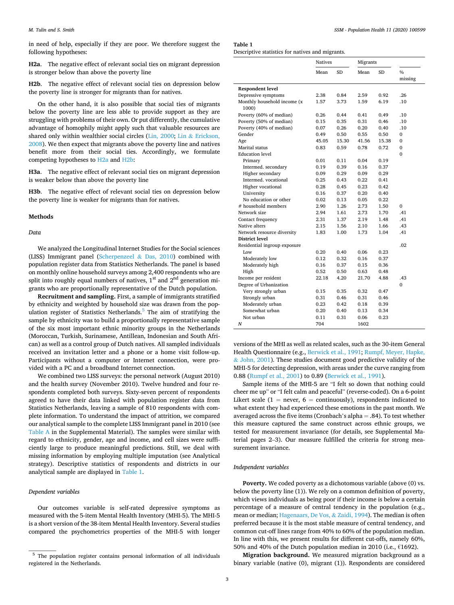in need of help, especially if they are poor. We therefore suggest the following hypotheses:

**H2a**. The negative effect of relevant social ties on migrant depression is stronger below than above the poverty line

**H2b**. The negative effect of relevant social ties on depression below the poverty line is stronger for migrants than for natives.

On the other hand, it is also possible that social ties of migrants below the poverty line are less able to provide support as they are struggling with problems of their own. Or put differently, the cumulative advantage of homophily might apply such that valuable resources are shared only within wealthier social circles [\(Lin, 2000](#page-8-0); Lin & [Erickson,](#page-8-0)  [2008\)](#page-8-0). We then expect that migrants above the poverty line and natives benefit more from their social ties. Accordingly, we formulate competing hypotheses to H2a and H2b:

**H3a**. The negative effect of relevant social ties on migrant depression is weaker below than above the poverty line

**H3b**. The negative effect of relevant social ties on depression below the poverty line is weaker for migrants than for natives.

#### **Methods**

#### *Data*

We analyzed the Longitudinal Internet Studies for the Social sciences (LISS) Immigrant panel [\(Scherpenzeel](#page-8-0) & Das, 2010) combined with population register data from Statistics Netherlands. The panel is based on monthly online household surveys among 2,400 respondents who are split into roughly equal numbers of natives,  $1<sup>st</sup>$  and  $2<sup>nd</sup>$  generation migrants who are proportionally representative of the Dutch population.

**Recruitment and sampling.** First, a sample of immigrants stratified by ethnicity and weighted by household size was drawn from the population register of Statistics Netherlands. $5$  The aim of stratifying the sample by ethnicity was to build a proportionally representative sample of the six most important ethnic minority groups in the Netherlands (Moroccan, Turkish, Surinamese, Antillean, Indonesian and South African) as well as a control group of Dutch natives. All sampled individuals received an invitation letter and a phone or a home visit follow-up. Participants without a computer or Internet connection, were provided with a PC and a broadband Internet connection.

We combined two LISS surveys: the personal network (August 2010) and the health survey (November 2010). Twelve hundred and four respondents completed both surveys. Sixty-seven percent of respondents agreed to have their data linked with population register data from Statistics Netherlands, leaving a sample of 810 respondents with complete information. To understand the impact of attrition, we compared our analytical sample to the complete LISS Immigrant panel in 2010 (see Table A in the Supplemental Material). The samples were similar with regard to ethnicity, gender, age and income, and cell sizes were sufficiently large to produce meaningful predictions. Still, we deal with missing information by employing multiple imputation (see Analytical strategy). Descriptive statistics of respondents and districts in our analytical sample are displayed in Table 1.

## *Dependent variables*

Our outcomes variable is self-rated depressive symptoms as measured with the 5-item Mental Health Inventory (MHI-5). The MHI-5 is a short version of the 38-item Mental Health Inventory. Several studies compared the psychometrics properties of the MHI-5 with longer

3

**Table 1** 

|                              | <b>Natives</b> |           | Migrants |           |              |
|------------------------------|----------------|-----------|----------|-----------|--------------|
|                              | Mean           | <b>SD</b> | Mean     | <b>SD</b> | 0/6          |
|                              |                |           |          |           | missing      |
| <b>Respondent level</b>      |                |           |          |           |              |
| Depressive symptoms          | 2.38           | 0.84      | 2.59     | 0.92      | .26          |
| Monthly household income (x  | 1.57           | 3.73      | 1.59     | 6.19      | .10          |
| 1000)                        |                |           |          |           |              |
| Poverty (60% of median)      | 0.26           | 0.44      | 0.41     | 0.49      | .10          |
| Poverty (50% of median)      | 0.15           | 0.35      | 0.31     | 0.46      | .10          |
| Poverty (40% of median)      | 0.07           | 0.26      | 0.20     | 0.40      | .10          |
| Gender                       | 0.49           | 0.50      | 0.55     | 0.50      | $\mathbf{0}$ |
| Age                          | 45.05          | 15.30     | 41.56    | 15.38     | $\mathbf{0}$ |
| Marital status               | 0.83           | 0.59      | 0.78     | 0.72      | $\mathbf{0}$ |
| <b>Education</b> level       |                |           |          |           | $\mathbf{0}$ |
| Primary                      | 0.01           | 0.11      | 0.04     | 0.19      |              |
| Intermed. secondary          | 0.19           | 0.39      | 0.16     | 0.37      |              |
| Higher secondary             | 0.09           | 0.29      | 0.09     | 0.29      |              |
| Intermed. vocational         | 0.25           | 0.43      | 0.22     | 0.41      |              |
| Higher vocational            | 0.28           | 0.45      | 0.23     | 0.42      |              |
| University                   | 0.16           | 0.37      | 0.20     | 0.40      |              |
| No education or other        | 0.02           | 0.13      | 0.05     | 0.22      |              |
| # household members          | 2.90           | 1.26      | 2.73     | 1.50      | $\mathbf{0}$ |
| Network size                 | 2.94           | 1.61      | 2.73     | 1.70      | .41          |
| Contact frequency            | 2.31           | 1.37      | 2.19     | 1.48      | .41          |
| Native alters                | 2.15           | 1.56      | 2.10     | 1.66      | .43          |
| Network resource diversity   | 1.83           | 1.00      | 1.73     | 1.04      | .41          |
| <b>District level</b>        |                |           |          |           |              |
| Residential ingroup exposure |                |           |          |           | .02          |
| Low                          | 0.20           | 0.40      | 0.06     | 0.23      |              |
| Moderately low               | 0.12           | 0.32      | 0.16     | 0.37      |              |
| Moderately high              | 0.16           | 0.37      | 0.15     | 0.36      |              |
| High                         | 0.52           | 0.50      | 0.63     | 0.48      |              |
| Income per resident          | 22.18          | 4.20      | 21.70    | 4.88      | .43          |
| Degree of Urbanization       |                |           |          |           | $\Omega$     |
| Very strongly urban          | 0.15           | 0.35      | 0.32     | 0.47      |              |
| Strongly urban               | 0.31           | 0.46      | 0.31     | 0.46      |              |
| Moderately urban             | 0.23           | 0.42      | 0.18     | 0.39      |              |
| Somewhat urban               | 0.20           | 0.40      | 0.13     | 0.34      |              |
| Not urban                    | 0.11           | 0.31      | 0.06     | 0.23      |              |
| N                            | 704            |           | 1602     |           |              |

versions of the MHI as well as related scales, such as the 30-item General Health Questionnaire (e.g., [Berwick et al., 1991](#page-7-0); [Rumpf, Meyer, Hapke,](#page-8-0)  & [John, 2001](#page-8-0)). These studies document good predictive validity of the MHI-5 for detecting depression, with areas under the curve ranging from 0.88 ([Rumpf et al., 2001\)](#page-8-0) to 0.89 ([Berwick et al., 1991\)](#page-7-0).

Sample items of the MHI-5 are "I felt so down that nothing could cheer me up" or "I felt calm and peaceful" (reverse-coded). On a 6-point Likert scale (1 = never,  $6 =$  continuously), respondents indicated to what extent they had experienced these emotions in the past month. We averaged across the five items (Cronbach's alpha  $=$  .84). To test whether this measure captured the same construct across ethnic groups, we tested for measurement invariance (for details, see Supplemental Material pages 2–3). Our measure fulfilled the criteria for strong measurement invariance.

## *Independent variables*

**Poverty.** We coded poverty as a dichotomous variable (above (0) vs. below the poverty line (1)). We rely on a common definition of poverty, which views individuals as being poor if their income is below a certain percentage of a measure of central tendency in the population (e.g., mean or median; [Hagenaars, De Vos,](#page-7-0) & Zaidi, 1994). The median is often preferred because it is the most stable measure of central tendency, and common cut-off lines range from 40% to 60% of the population median. In line with this, we present results for different cut-offs, namely 60%, 50% and 40% of the Dutch population median in 2010 (i.e., €1692).

**Migration background.** We measured migration background as a binary variable (native (0), migrant (1)). Respondents are considered

<sup>5</sup> The population register contains personal information of all individuals registered in the Netherlands.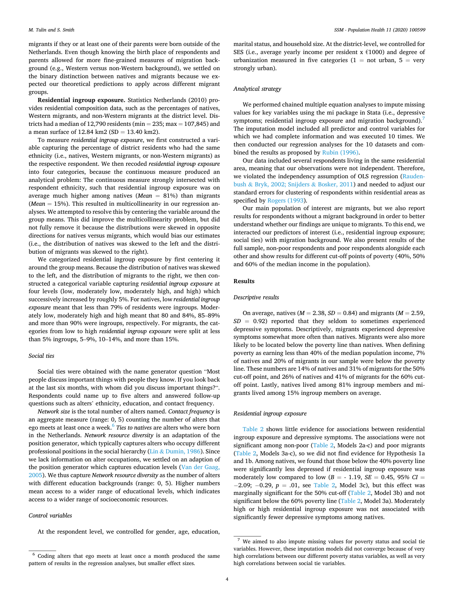migrants if they or at least one of their parents were born outside of the Netherlands. Even though knowing the birth place of respondents and parents allowed for more fine-grained measures of migration background (e.g., Western versus non-Western background), we settled on the binary distinction between natives and migrants because we expected our theoretical predictions to apply across different migrant groups.

**Residential ingroup exposure.** Statistics Netherlands (2010) provides residential composition data, such as the percentages of natives, Western migrants, and non-Western migrants at the district level. Districts had a median of 12,790 residents (min = 235; max = 107,845) and a mean surface of 12.84 km2 (SD = 13.40 km2).

To measure *residential ingroup exposure*, we first constructed a variable capturing the percentage of district residents who had the same ethnicity (i.e., natives, Western migrants, or non-Western migrants) as the respective respondent. We then recoded *residential ingroup exposure*  into four categories, because the continuous measure produced an analytical problem: The continuous measure strongly intersected with respondent ethnicity, such that residential ingroup exposure was on average much higher among natives (*Mean*  $= 81\%$ ) than migrants (*Mean*  $= 15\%$ ). This resulted in multicollinearity in our regression analyses. We attempted to resolve this by centering the variable around the group means. This did improve the multicollinearity problem, but did not fully remove it because the distributions were skewed in opposite directions for natives versus migrants, which would bias our estimates (i.e., the distribution of natives was skewed to the left and the distribution of migrants was skewed to the right).

We categorized residential ingroup exposure by first centering it around the group means. Because the distribution of natives was skewed to the left, and the distribution of migrants to the right, we then constructed a categorical variable capturing *residential ingroup exposure* at four levels (low, moderately low, moderately high, and high) which successively increased by roughly 5%. For natives, low *residential ingroup exposure* meant that less than 79% of residents were ingroups. Moderately low, moderately high and high meant that 80 and 84%, 85–89% and more than 90% were ingroups, respectively. For migrants, the categories from low to high *residential ingroup exposure* were split at less than 5% ingroups, 5–9%, 10–14%, and more than 15%.

## *Social ties*

Social ties were obtained with the name generator question "Most people discuss important things with people they know. If you look back at the last six months, with whom did you discuss important things?". Respondents could name up to five alters and answered follow-up questions such as alters' ethnicity, education, and contact frequency.

*Network size* is the total number of alters named. *Contact frequency* is an aggregate measure (range: 0, 5) counting the number of alters that ego meets at least once a week.6 *Ties to natives* are alters who were born in the Netherlands. *Network resource diversity* is an adaptation of the position generator, which typically captures alters who occupy different professional positions in the social hierarchy (Lin & [Dumin, 1986](#page-8-0)). Since we lack information on alter occupations, we settled on an adaption of the position generator which captures education levels (Van der Gaag, [2005\)](#page-8-0). We thus capture *Network resource diversity* as the number of alters with different education backgrounds (range: 0, 5). Higher numbers mean access to a wider range of educational levels, which indicates access to a wider range of socioeconomic resources.

#### *Control variables*

At the respondent level, we controlled for gender, age, education,

marital status, and household size. At the district-level, we controlled for SES (i.e., average yearly income per resident  $x \in 1000$ ) and degree of urbanization measured in five categories (1 = not urban, 5 = very strongly urban).

# *Analytical strategy*

We performed chained multiple equation analyses to impute missing values for key variables using the mi package in Stata (i.e., depressive symptoms; residential ingroup exposure and migration background).<sup>7</sup> The imputation model included all predictor and control variables for which we had complete information and was executed 10 times. We then conducted our regression analyses for the 10 datasets and combined the results as proposed by [Rubin \(1996\)](#page-8-0).

Our data included several respondents living in the same residential area, meaning that our observations were not independent. Therefore, we violated the independency assumption of OLS regression [\(Rauden](#page-8-0)bush & [Bryk, 2002; Snijders](#page-8-0) & Bosker, 2011) and needed to adjust our standard errors for clustering of respondents within residential areas as specified by [Rogers \(1993](#page-8-0)).

Our main population of interest are migrants, but we also report results for respondents without a migrant background in order to better understand whether our findings are unique to migrants. To this end, we interacted our predictors of interest (i.e., residential ingroup exposure; social ties) with migration background. We also present results of the full sample, non-poor respondents and poor respondents alongside each other and show results for different cut-off points of poverty (40%, 50% and 60% of the median income in the population).

#### **Results**

#### *Descriptive results*

On average, natives ( $M = 2.38$ ,  $SD = 0.84$ ) and migrants ( $M = 2.59$ ,  $SD = 0.92$ ) reported that they seldom to sometimes experienced depressive symptoms. Descriptively, migrants experienced depressive symptoms somewhat more often than natives. Migrants were also more likely to be located below the poverty line than natives. When defining poverty as earning less than 40% of the median population income, 7% of natives and 20% of migrants in our sample were below the poverty line. These numbers are 14% of natives and 31% of migrants for the 50% cut-off point, and 26% of natives and 41% of migrants for the 60% cutoff point. Lastly, natives lived among 81% ingroup members and migrants lived among 15% ingroup members on average.

# *Residential ingroup exposure*

[Table 2](#page-5-0) shows little evidence for associations between residential ingroup exposure and depressive symptoms. The associations were not significant among non-poor ([Table 2,](#page-5-0) Models 2a-c) and poor migrants ([Table 2](#page-5-0), Models 3a-c), so we did not find evidence for Hypothesis 1a and 1b. Among natives, we found that those below the 40% poverty line were significantly less depressed if residential ingroup exposure was moderately low compared to low  $(B = -1.19, SE = 0.45, 95\% CI =$  $-2.09$ ;  $-0.29$ ,  $p = .01$ , see [Table 2,](#page-5-0) Model 3c), but this effect was marginally significant for the 50% cut-off ([Table 2,](#page-5-0) Model 3b) and not significant below the 60% poverty line [\(Table 2](#page-5-0), Model 3a). Moderately high or high residential ingroup exposure was not associated with significantly fewer depressive symptoms among natives.

<sup>6</sup> Coding alters that ego meets at least once a month produced the same pattern of results in the regression analyses, but smaller effect sizes.

<sup>7</sup> We aimed to also impute missing values for poverty status and social tie variables. However, these imputation models did not converge because of very high correlations between our different poverty status variables, as well as very high correlations between social tie variables.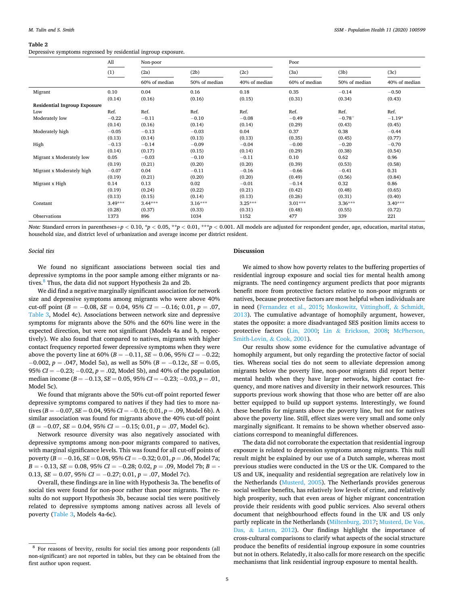#### <span id="page-5-0"></span>**Table 2**

Depressive symptoms regressed by residential ingroup exposure.

|                                     | All       | Non-poor      |               |               | Poor          |               |               |  |  |
|-------------------------------------|-----------|---------------|---------------|---------------|---------------|---------------|---------------|--|--|
|                                     | (1)       | (2a)          | (2b)          | (2c)          | (3a)          | (3b)          | (3c)          |  |  |
|                                     |           | 60% of median | 50% of median | 40% of median | 60% of median | 50% of median | 40% of median |  |  |
| Migrant                             | 0.10      | 0.04          | 0.16          | 0.18          | 0.35          | $-0.14$       | $-0.50$       |  |  |
|                                     | (0.14)    | (0.16)        | (0.16)        | (0.15)        | (0.31)        | (0.34)        | (0.43)        |  |  |
| <b>Residential Ingroup Exposure</b> |           |               |               |               |               |               |               |  |  |
| Low                                 | Ref.      | Ref.          | Ref.          | Ref.          | Ref.          | Ref.          | Ref.          |  |  |
| Moderately low                      | $-0.22$   | $-0.11$       | $-0.10$       | $-0.08$       | $-0.49$       | $-0.78^{+}$   | $-1.19*$      |  |  |
|                                     | (0.14)    | (0.16)        | (0.14)        | (0.14)        | (0.29)        | (0.43)        | (0.45)        |  |  |
| Moderately high                     | $-0.05$   | $-0.13$       | $-0.03$       | 0.04          | 0.37          | 0.38          | $-0.44$       |  |  |
|                                     | (0.13)    | (0.14)        | (0.13)        | (0.13)        | (0.35)        | (0.45)        | (0.77)        |  |  |
| High                                | $-0.13$   | $-0.14$       | $-0.09$       | $-0.04$       | $-0.00$       | $-0.20$       | $-0.70$       |  |  |
|                                     | (0.14)    | (0.17)        | (0.15)        | (0.14)        | (0.29)        | (0.38)        | (0.54)        |  |  |
| Migrant x Moderately low            | 0.05      | $-0.03$       | $-0.10$       | $-0.11$       | 0.10          | 0.62          | 0.96          |  |  |
|                                     | (0.19)    | (0.21)        | (0.20)        | (0.20)        | (0.39)        | (0.53)        | (0.58)        |  |  |
| Migrant x Moderately high           | $-0.07$   | 0.04          | $-0.11$       | $-0.16$       | $-0.66$       | $-0.41$       | 0.31          |  |  |
|                                     | (0.19)    | (0.21)        | (0.20)        | (0.20)        | (0.49)        | (0.56)        | (0.84)        |  |  |
| Migrant x High                      | 0.14      | 0.13          | 0.02          | $-0.01$       | $-0.14$       | 0.32          | 0.86          |  |  |
|                                     | (0.19)    | (0.24)        | (0.22)        | (0.21)        | (0.42)        | (0.48)        | (0.65)        |  |  |
|                                     | (0.13)    | (0.15)        | (0.14)        | (0.13)        | (0.26)        | (0.31)        | (0.40)        |  |  |
| Constant                            | $3.49***$ | $3.44***$     | $3.16***$     | $3.25***$     | $3.01***$     | $3.36***$     | $3.40***$     |  |  |
|                                     | (0.28)    | (0.37)        | (0.33)        | (0.31)        | (0.48)        | (0.55)        | (0.72)        |  |  |
| Observations                        | 1373      | 896           | 1034          | 1152          | 477           | 339           | 221           |  |  |

Note: Standard errors in parentheses+ $p < 0.10$ , \* $p < 0.05$ , \*\* $p < 0.01$ , \*\*\* $p < 0.001$ . All models are adjusted for respondent gender, age, education, marital status, household size, and district level of urbanization and average income per district resident.

*Social ties* 

We found no significant associations between social ties and depressive symptoms in the poor sample among either migrants or natives.<sup>8</sup> Thus, the data did not support Hypothesis 2a and 2b.

We did find a negative marginally significant association for network size and depressive symptoms among migrants who were above 40% cut-off point ( $B = -0.08$ ,  $SE = 0.04$ ,  $95\%$   $CI = -0.16$ ; 0.01,  $p = .07$ , [Table 3](#page-6-0), Model 4c). Associations between network size and depressive symptoms for migrants above the 50% and the 60% line were in the expected direction, but were not significant (Models 4a and b, respectively). We also found that compared to natives, migrants with higher contact frequency reported fewer depressive symptoms when they were above the poverty line at 60% ( $B = -0.11$ ,  $SE = 0.06$ , 95%  $CI = -0.22$ ;  $-0.002$ ,  $p = .047$ , Model 5a), as well as 50% ( $B = -0.12c$ ,  $SE = 0.05$ , 95%  $CI = -0.23$ ;  $-0.02$ ,  $p = 0.02$ , Model 5b), and 40% of the population median income ( $B = -0.13$ ,  $SE = 0.05$ ,  $95% CI = -0.23$ ;  $-0.03$ ,  $p = 0.01$ , Model 5c).

We found that migrants above the 50% cut-off point reported fewer depressive symptoms compared to natives if they had ties to more natives ( $B = -0.07$ ,  $SE = 0.04$ ,  $95% CI = -0.16$ ;  $0.01$ ,  $p = .09$ , Model 6b). A similar association was found for migrants above the 40% cut-off point  $(B = -0.07, SE = 0.04, 95\% CI = -0.15; 0.01, p = .07, Model 6c).$ 

Network resource diversity was also negatively associated with depressive symptoms among non-poor migrants compared to natives, with marginal significance levels. This was found for all cut-off points of poverty ( $B = -0.16$ ,  $SE = 0.08$ ,  $95% CI = -0.32$ ;  $0.01$ ,  $p = .06$ , Model 7a;  $B = -0.13$ ,  $SE = 0.08$ ,  $95% CI = -0.28$ ; 0.02,  $p = .09$ , Model 7b;  $B = -0.28$ ; 0.02,  $p = .09$ 0.13,  $SE = 0.07$ , 95%  $CI = -0.27$ ; 0.01,  $p = .07$ , Model 7c).

Overall, these findings are in line with Hypothesis 3a. The benefits of social ties were found for non-poor rather than poor migrants. The results do not support Hypothesis 3b, because social ties were positively related to depressive symptoms among natives across all levels of poverty ([Table 3](#page-6-0), Models 4a-6c).

# **Discussion**

We aimed to show how poverty relates to the buffering properties of residential ingroup exposure and social ties for mental health among migrants. The need contingency argument predicts that poor migrants benefit more from protective factors relative to non-poor migrants or natives, because protective factors are most helpful when individuals are in need [\(Fernandez et al., 2015](#page-7-0); [Moskowitz, Vittinghoff,](#page-8-0) & Schmidt, [2013\)](#page-8-0). The cumulative advantage of homophily argument, however, states the opposite: a more disadvantaged SES position limits access to protective factors ([Lin, 2000;](#page-8-0) Lin & [Erickson, 2008;](#page-8-0) [McPherson,](#page-8-0)  [Smith-Lovin,](#page-8-0) & Cook, 2001).

Our results show some evidence for the cumulative advantage of homophily argument, but only regarding the protective factor of social ties. Whereas social ties do not seem to alleviate depression among migrants below the poverty line, non-poor migrants did report better mental health when they have larger networks, higher contact frequency, and more natives and diversity in their network resources. This supports previous work showing that those who are better off are also better equipped to build up support systems. Interestingly, we found these benefits for migrants above the poverty line, but not for natives above the poverty line. Still, effect sizes were very small and some only marginally significant. It remains to be shown whether observed associations correspond to meaningful differences.

The data did not corroborate the expectation that residential ingroup exposure is related to depression symptoms among migrants. This null result might be explained by our use of a Dutch sample, whereas most previous studies were conducted in the US or the UK. Compared to the US and UK, inequality and residential segregation are relatively low in the Netherlands ([Musterd, 2005](#page-8-0)). The Netherlands provides generous social welfare benefits, has relatively low levels of crime, and relatively high prosperity, such that even areas of higher migrant concentration provide their residents with good public services. Also several others document that neighbourhood effects found in the UK and US only partly replicate in the Netherlands [\(Miltenburg, 2017; Musterd, De Vos,](#page-8-0)  Das, & [Latten, 2012\)](#page-8-0). Our findings highlight the importance of cross-cultural comparisons to clarify what aspects of the social structure produce the benefits of residential ingroup exposure in some countries but not in others. Relatedly, it also calls for more research on the specific mechanisms that link residential ingroup exposure to mental health.

<sup>8</sup> For reasons of brevity, results for social ties among poor respondents (all non-significant) are not reported in tables, but they can be obtained from the first author upon request.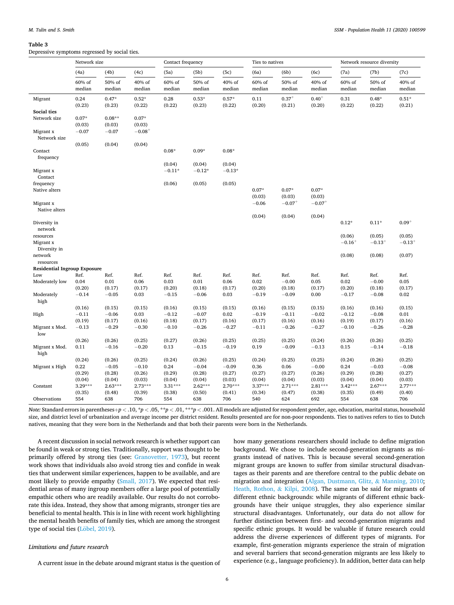#### <span id="page-6-0"></span>**Table 3**

Depressive symptoms regressed by social ties.

|                                     | Network size     |                   |                   | Contact frequency  |                    |                    | Ties to natives  |                      |                      | Network resource diversity |                   |                   |
|-------------------------------------|------------------|-------------------|-------------------|--------------------|--------------------|--------------------|------------------|----------------------|----------------------|----------------------------|-------------------|-------------------|
|                                     | (4a)             | (4b)              | (4c)              | (5a)               | (5b)               | (5c)               | (6a)             | (6b)                 | (6c)                 | (7a)                       | (7b)              | (7c)              |
|                                     | 60% of<br>median | 50% of<br>median  | 40% of<br>median  | 60% of<br>median   | 50% of<br>median   | 40% of<br>median   | 60% of<br>median | 50% of<br>median     | 40% of<br>median     | 60% of<br>median           | 50% of<br>median  | 40% of<br>median  |
| Migrant                             | 0.24<br>(0.23)   | $0.47*$<br>(0.23) | $0.52*$<br>(0.22) | 0.28<br>(0.22)     | $0.53*$<br>(0.23)  | $0.57*$<br>(0.22)  | 0.11<br>(0.20)   | $0.37^{+}$<br>(0.21) | $0.40^{+}$<br>(0.20) | 0.31<br>(0.22)             | $0.48*$<br>(0.22) | $0.51*$<br>(0.21) |
| Social ties                         |                  |                   |                   |                    |                    |                    |                  |                      |                      |                            |                   |                   |
| Network size                        | $0.07*$          | $0.08**$          | $0.07*$           |                    |                    |                    |                  |                      |                      |                            |                   |                   |
|                                     | (0.03)           | (0.03)            | (0.03)            |                    |                    |                    |                  |                      |                      |                            |                   |                   |
| Migrant x<br>Network size           | $-0.07$          | $-0.07$           | $-0.08^{+}$       |                    |                    |                    |                  |                      |                      |                            |                   |                   |
|                                     | (0.05)           | (0.04)            | (0.04)            |                    |                    |                    |                  |                      |                      |                            |                   |                   |
| Contact                             |                  |                   |                   | $0.08*$            | $0.09*$            | $0.08*$            |                  |                      |                      |                            |                   |                   |
| frequency                           |                  |                   |                   |                    |                    |                    |                  |                      |                      |                            |                   |                   |
| Migrant x                           |                  |                   |                   | (0.04)<br>$-0.11*$ | (0.04)<br>$-0.12*$ | (0.04)<br>$-0.13*$ |                  |                      |                      |                            |                   |                   |
| Contact                             |                  |                   |                   |                    |                    |                    |                  |                      |                      |                            |                   |                   |
| frequency<br>Native alters          |                  |                   |                   | (0.06)             | (0.05)             | (0.05)             | $0.07*$          | $0.07*$              | $0.07*$              |                            |                   |                   |
|                                     |                  |                   |                   |                    |                    |                    | (0.03)           | (0.03)               | (0.03)               |                            |                   |                   |
| Migrant x                           |                  |                   |                   |                    |                    |                    | $-0.06$          | $-0.07$ <sup>+</sup> | $-0.07^{+}$          |                            |                   |                   |
| Native alters                       |                  |                   |                   |                    |                    |                    |                  |                      |                      |                            |                   |                   |
|                                     |                  |                   |                   |                    |                    |                    | (0.04)           | (0.04)               | (0.04)               | $0.12*$                    | $0.11*$           | $0.09^{+}$        |
| Diversity in<br>network             |                  |                   |                   |                    |                    |                    |                  |                      |                      |                            |                   |                   |
| resources                           |                  |                   |                   |                    |                    |                    |                  |                      |                      | (0.06)                     | (0.05)            | (0.05)            |
| Migrant x                           |                  |                   |                   |                    |                    |                    |                  |                      |                      | $-0.16+$                   | $-0.13^{+}$       | $-0.13^{+}$       |
| Diversity in                        |                  |                   |                   |                    |                    |                    |                  |                      |                      |                            |                   |                   |
| network                             |                  |                   |                   |                    |                    |                    |                  |                      |                      | (0.08)                     | (0.08)            | (0.07)            |
| resources                           |                  |                   |                   |                    |                    |                    |                  |                      |                      |                            |                   |                   |
| <b>Residential Ingroup Exposure</b> |                  |                   |                   |                    |                    |                    |                  |                      |                      |                            |                   |                   |
| Low                                 | Ref.             | Ref.              | Ref.              | Ref.               | Ref.               | Ref.               | Ref.             | Ref.                 | Ref.                 | Ref.                       | Ref.              | Ref.              |
| Moderately low                      | 0.04             | 0.01              | 0.06              | 0.03               | 0.01               | 0.06               | 0.02             | $-0.00$              | 0.05                 | 0.02                       | $\!-0.00$         | 0.05              |
|                                     | (0.20)           | (0.17)            | (0.17)            | (0.20)             | (0.18)             | (0.17)             | (0.20)           | (0.18)               | (0.17)               | (0.20)                     | (0.18)            | (0.17)            |
| Moderately                          | $-0.14$          | $-0.05$           | 0.03              | $-0.15$            | $-0.06$            | 0.03               | $-0.19$          | $-0.09$              | 0.00                 | $-0.17$                    | $-0.08$           | 0.02              |
| high                                |                  |                   |                   |                    |                    |                    |                  |                      |                      |                            |                   |                   |
|                                     | (0.16)           | (0.15)            | (0.15)            | (0.16)             | (0.15)             | (0.15)             | (0.16)           | (0.15)               | (0.15)               | (0.16)                     | (0.16)            | (0.15)            |
| High                                | $-0.11$          | $-0.06$           | 0.03              | $-0.12$            | $-0.07$            | 0.02               | $-0.19$          | $-0.11$              | $-0.02$              | $-0.12$                    | $-0.08$           | 0.01              |
|                                     | (0.19)           | (0.17)            | (0.16)            | (0.18)             | (0.17)             | (0.16)             | (0.17)           | (0.16)               | (0.16)               | (0.19)                     | (0.17)            | (0.16)            |
| Migrant x Mod.<br>low               | $-0.13$          | $-0.29$           | $-0.30$           | $-0.10$            | $-0.26$            | $-0.27$            | $-0.11$          | $-0.26$              | $-0.27$              | $-0.10$                    | $-0.26$           | $-0.28$           |
|                                     | (0.26)           | (0.26)            | (0.25)            | (0.27)             | (0.26)             | (0.25)             | (0.25)           | (0.25)               | (0.24)               | (0.26)                     | (0.26)            | (0.25)            |
| Migrant x Mod.<br>high              | 0.11             | $-0.16$           | $-0.20$           | 0.13               | $-0.15$            | $-0.19$            | 0.19             | $-0.09$              | $-0.13$              | 0.15                       | $-0.14$           | $-0.18$           |
|                                     | (0.24)           | (0.26)            | (0.25)            | (0.24)             | (0.26)             | (0.25)             | (0.24)           | (0.25)               | (0.25)               | (0.24)                     | (0.26)            | (0.25)            |
| Migrant x High                      | 0.22             | $-0.05$           | $-0.10$           | 0.24               | $-0.04$            | $-0.09$            | 0.36             | 0.06                 | $-0.00$              | 0.24                       | $-0.03$           | $-0.08$           |
|                                     | (0.29)           | (0.28)            | (0.26)            | (0.29)             | (0.28)             | (0.27)             | (0.27)           | (0.27)               | (0.26)               | (0.29)                     | (0.28)            | (0.27)            |
|                                     | (0.04)           | (0.04)            | (0.03)            | (0.04)             | (0.04)             | (0.03)             | (0.04)           | (0.04)               | (0.03)               | (0.04)                     | (0.04)            | (0.03)            |
| Constant                            | $3.29***$        | $2.63***$         | $2.73***$         | $3.31***$          | $2.62***$          | $2.70***$          | $3.37***$        | $2.71***$            | $2.81***$            | $3.42***$                  | $2.67***$         | $2.77***$         |
|                                     | (0.35)           | (0.48)            | (0.39)            | (0.38)             | (0.50)             | (0.41)             | (0.34)           | (0.47)               | (0.38)               | (0.35)                     | (0.49)            | (0.40)            |
| Observations                        | 554              | 638               | 706               | 554                | 638                | 706                | 540              | 624                  | 692                  | 554                        | 638               | 706               |

*Note:* Standard errors in parentheses +p < .10, \*p < .05, \*\*p < .01, \*\*\*p < .001. All models are adjusted for respondent gender, age, education, marital status, household size, and district level of urbanization and average income per district resident. Results presented are for non-poor respondents. Ties to natives refers to ties to Dutch natives, meaning that they were born in the Netherlands and that both their parents were born in the Netherlands.

A recent discussion in social network research is whether support can be found in weak or strong ties. Traditionally, support was thought to be primarily offered by strong ties (see: [Granovetter, 1973\)](#page-7-0), but recent work shows that individuals also avoid strong ties and confide in weak ties that underwent similar experiences, happen to be available, and are most likely to provide empathy ([Small, 2017\)](#page-8-0). We expected that residential areas of many ingroup members offer a large pool of potentially empathic others who are readily available. Our results do not corroborate this idea. Instead, they show that among migrants, stronger ties are beneficial to mental health. This is in line with recent work highlighting the mental health benefits of family ties, which are among the strongest type of social ties (Löbel, 2019).

# *Limitations and future research*

A current issue in the debate around migrant status is the question of

how many generations researchers should include to define migration background. We chose to include second-generation migrants as migrants instead of natives. This is because several second-generation migrant groups are known to suffer from similar structural disadvantages as their parents and are therefore central to the public debate on migration and integration [\(Algan, Dustmann, Glitz,](#page-7-0) & Manning, 2010; [Heath, Rothon,](#page-7-0) & Kilpi, 2008). The same can be said for migrants of different ethnic backgrounds: while migrants of different ethnic backgrounds have their unique struggles, they also experience similar structural disadvantages. Unfortunately, our data do not allow for further distinction between first- and second-generation migrants and specific ethnic groups. It would be valuable if future research could address the diverse experiences of different types of migrants. For example, first-generation migrants experience the strain of migration and several barriers that second-generation migrants are less likely to experience (e.g., language proficiency). In addition, better data can help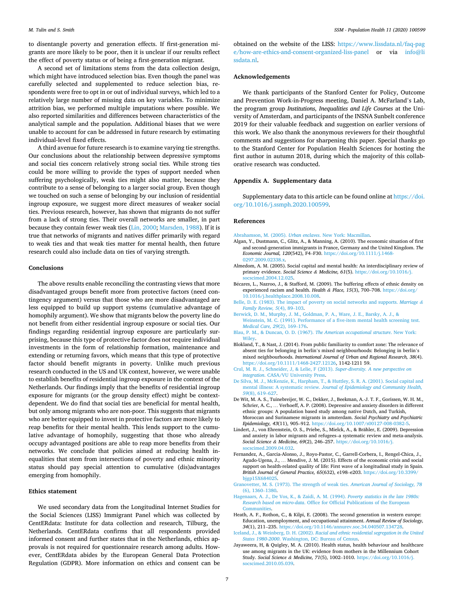<span id="page-7-0"></span>to disentangle poverty and generation effects. If first-generation migrants are more likely to be poor, then it is unclear if our results reflect the effect of poverty status or of being a first-generation migrant.

A second set of limitations stems from the data collection design, which might have introduced selection bias. Even though the panel was carefully selected and supplemented to reduce selection bias, respondents were free to opt in or out of individual surveys, which led to a relatively large number of missing data on key variables. To minimize attrition bias, we performed multiple imputations where possible. We also reported similarities and differences between characteristics of the analytical sample and the population. Additional biases that we were unable to account for can be addressed in future research by estimating individual-level fixed effects.

A third avenue for future research is to examine varying tie strengths. Our conclusions about the relationship between depressive symptoms and social ties concern relatively strong social ties. While strong ties could be more willing to provide the types of support needed when suffering psychologically, weak ties might also matter, because they contribute to a sense of belonging to a larger social group. Even though we touched on such a sense of belonging by our inclusion of residential ingroup exposure, we suggest more direct measures of weaker social ties. Previous research, however, has shown that migrants do not suffer from a lack of strong ties. Their overall networks are smaller, in part because they contain fewer weak ties ([Lin, 2000](#page-8-0); [Marsden, 1988\)](#page-8-0). If it is true that networks of migrants and natives differ primarily with regard to weak ties and that weak ties matter for mental health, then future research could also include data on ties of varying strength.

#### **Conclusions**

The above results enable reconciling the contrasting views that more disadvantaged groups benefit more from protective factors (need contingency argument) versus that those who are more disadvantaged are less equipped to build up support systems (cumulative advantage of homophily argument). We show that migrants below the poverty line do not benefit from either residential ingroup exposure or social ties. Our findings regarding residential ingroup exposure are particularly surprising, because this type of protective factor does not require individual investments in the form of relationship formation, maintenance and extending or returning favors, which means that this type of protective factor should benefit migrants in poverty. Unlike much previous research conducted in the US and UK context, however, we were unable to establish benefits of residential ingroup exposure in the context of the Netherlands. Our findings imply that the benefits of residential ingroup exposure for migrants (or the group density effect) might be contextdependent. We do find that social ties are beneficial for mental health, but only among migrants who are non-poor. This suggests that migrants who are better equipped to invest in protective factors are more likely to reap benefits for their mental health. This lends support to the cumulative advantage of homophily, suggesting that those who already occupy advantaged positions are able to reap more benefits from their networks. We conclude that policies aimed at reducing health inequalities that stem from intersections of poverty and ethnic minority status should pay special attention to cumulative (dis)advantages emerging from homophily.

## **Ethics statement**

We used secondary data from the Longitudinal Internet Studies for the Social Sciences (LISS) Immigrant Panel which was collected by CentERdata: Institute for data collection and research, Tilburg, the Netherlands. CentERdata confirms that all respondents provided informed consent and further states that in the Netherlands, ethics approvals is not required for questionnaire research among adults. However, CentERdata abides by the European General Data Protection Regulation (GDPR). More information on ethics and consent can be

obtained on the website of the LISS: [https://www.lissdata.nl/faq-pag](https://www.lissdata.nl/faq-page/how-are-ethics-and-consent-organized-liss-panel)  [e/how-are-ethics-and-consent-organized-liss-panel](https://www.lissdata.nl/faq-page/how-are-ethics-and-consent-organized-liss-panel) or via [info@li](mailto:info@lissdata.nl)  [ssdata.nl](mailto:info@lissdata.nl).

#### **Acknowledgements**

We thank participants of the Stanford Center for Policy, Outcome and Prevention Work-in-Progress meeting, Daniel A. McFarland's Lab, the program group *Institutions, Inequalities and Life Courses* at the University of Amsterdam, and participants of the INSNA Sunbelt conference 2019 for their valuable feedback and suggestion on earlier versions of this work. We also thank the anonymous reviewers for their thoughtful comments and suggestions for sharpening this paper. Special thanks go to the Stanford Center for Population Health Sciences for hosting the first author in autumn 2018, during which the majority of this collaborative research was conducted.

#### **Appendix A. Supplementary data**

Supplementary data to this article can be found online at [https://doi.](https://doi.org/10.1016/j.ssmph.2020.100599)  [org/10.1016/j.ssmph.2020.100599](https://doi.org/10.1016/j.ssmph.2020.100599).

#### **References**

- [Abrahamson, M. \(2005\).](http://refhub.elsevier.com/S2352-8273(20)30236-6/optzCWx3YG56w) *Urban enclaves*. New York: Macmillan.
- Algan, Y., Dustmann, C., Glitz, A., & Manning, A. (2010). The economic situation of first and second-generation immigrants in France, Germany and the United Kingdom. *The Economic Journal, 120*(542), F4–F30. [https://doi.org/10.1111/j.1468-](https://doi.org/10.1111/j.1468-0297.2009.02338.x) [0297.2009.02338.x.](https://doi.org/10.1111/j.1468-0297.2009.02338.x)
- Almedom, A. M. (2005). Social capital and mental health: An interdisciplinary review of primary evidence. *Social Science & Medicine, 61*(5). [https://doi.org/10.1016/j.](https://doi.org/10.1016/j.socscimed.2004.12.025) [socscimed.2004.12.025.](https://doi.org/10.1016/j.socscimed.2004.12.025)
- B�ecares, L., Nazroo, J., & Stafford, M. (2009). The buffering effects of ethnic density on experienced racism and health. *Health & Place, 15*(3), 700–708. [https://doi.org/](https://doi.org/10.1016/j.healthplace.2008.10.008)  [10.1016/j.healthplace.2008.10.008.](https://doi.org/10.1016/j.healthplace.2008.10.008)
- [Belle, D. E. \(1983\). The impact of poverty on social networks and supports.](http://refhub.elsevier.com/S2352-8273(20)30236-6/optJBOs3l9V9x) *Marriage & [Family Review, 5](http://refhub.elsevier.com/S2352-8273(20)30236-6/optJBOs3l9V9x)*(4), 89–103.
- [Berwick, D. M., Murphy, J. M., Goldman, P. A., Ware, J. E., Barsky, A. J., &](http://refhub.elsevier.com/S2352-8273(20)30236-6/sref4)  [Weinstein, M. C. \(1991\). Performance of a five-item mental health screening test.](http://refhub.elsevier.com/S2352-8273(20)30236-6/sref4) *[Medical Care, 29](http://refhub.elsevier.com/S2352-8273(20)30236-6/sref4)*(2), 169–176.
- [Blau, P. M., & Duncan, O. D. \(1967\).](http://refhub.elsevier.com/S2352-8273(20)30236-6/sref5) *The American occupational structure*. New York: **Wiley**
- Blokland, T., & Nast, J. (2014). From public familiarity to comfort zone: The relevance of absent ties for belonging in berlin's mixed neighbourhoods: Belonging in berlin's mixed neighbourhoods. *International Journal of Urban and Regional Research, 38*(4). [https://doi.org/10.1111/1468-2427.12126,](https://doi.org/10.1111/1468-2427.12126) 1142-1211 59.
- [Crul, M. R. J., Schneider, J, & Lelie, F \(2013\).](http://refhub.elsevier.com/S2352-8273(20)30236-6/optv3axlgYQkr) *Super-diversity. A new perspective on integration*[. CASA/VU University Press.](http://refhub.elsevier.com/S2352-8273(20)30236-6/optv3axlgYQkr)
- [De Silva, M. J., McKenzie, K., Harpham, T., & Huttley, S. R. A. \(2001\). Social capital and](http://refhub.elsevier.com/S2352-8273(20)30236-6/optSzSOzQ7ngV)  mental illness: A systematic review. *[Journal of Epidemiology and Community Health,](http://refhub.elsevier.com/S2352-8273(20)30236-6/optSzSOzQ7ngV) 59*[\(8\), 619](http://refhub.elsevier.com/S2352-8273(20)30236-6/optSzSOzQ7ngV)–627.
- De Wit, M. A. S., Tuinebreijer, W. C., Dekker, J., Beekman, A.-J. T. F., Gorissen, W. H. M., Schrier, A. C., … Verhoeff, A. P. (2008). Depressive and anxiety disorders in different ethnic groups: A population based study among native Dutch, and Turkish, Moroccan and Surinamese migrants in amsterdam. *Social Psychiatry and Psychiatric Epidemiology, 43*(11), 905–912.<https://doi.org/10.1007/s00127-008-0382-5>.
- Lindert, J., von Ehrenstein, O. S., Priebe, S., Mielck, A., & Brähler, E. (2009). Depression and anxiety in labor migrants and refugees–a systematic review and meta-analysis. *Social Science & Medicine, 69*(2), 246–257. [https://doi.org/10.1016/j.](https://doi.org/10.1016/j.socscimed.2009.04.032)  [socscimed.2009.04.032.](https://doi.org/10.1016/j.socscimed.2009.04.032)
- Fernandez, A., Garcia-Alonso, J., Royo-Pastor, C., Garrell-Corbera, I., Rengel-Chica, J., Agudo-Ugena, J., … Mendive, J. M. (2015). Effects of the economic crisis and social support on health-related quality of life: First wave of a longitudinal study in Spain. *British Journal of General Practice, 65*(632), e198–e203. [https://doi.org/10.3399/](https://doi.org/10.3399/bjgp15X684025) [bjgp15X684025.](https://doi.org/10.3399/bjgp15X684025)
- [Granovetter, M. S. \(1973\). The strength of weak ties.](http://refhub.elsevier.com/S2352-8273(20)30236-6/sref10) *American Journal of Sociology, 78*  [\(6\), 1360](http://refhub.elsevier.com/S2352-8273(20)30236-6/sref10)–1380.
- [Hagenaars, A. J., De Vos, K., & Zaidi, A. M. \(1994\).](http://refhub.elsevier.com/S2352-8273(20)30236-6/sref11) *Poverty statistics in the late 1980s: Research based on micro-data*[. Office for Official Publications of the European](http://refhub.elsevier.com/S2352-8273(20)30236-6/sref11)  [Communities.](http://refhub.elsevier.com/S2352-8273(20)30236-6/sref11)
- Heath, A. F., Rothon, C., & Kilpi, E. (2008). The second generation in western europe: Education, unemployment, and occupational attainment. *Annual Review of Sociology, 34*(1), 211–235. [https://doi.org/10.1146/annurev.soc.34.040507.134728.](https://doi.org/10.1146/annurev.soc.34.040507.134728)
- Iceland, J., & Weinberg, D. H. (2002). *[Racial and ethnic residential segregation in the United](http://refhub.elsevier.com/S2352-8273(20)30236-6/sref13)  States 1980-2000*[. Washington, DC: Bureau of Census.](http://refhub.elsevier.com/S2352-8273(20)30236-6/sref13)
- Jayaweera, H, & Quigley, M. A. (2010). Health status, health behaviour and healthcare use among migrants in the UK: evidence from mothers in the Millennium Cohort Study. *Social Science & Medicine, 71*(5), 1002–1010. [https://doi.org/10.1016/j.](https://doi.org/10.1016/j.socscimed.2010.05.039)  [socscimed.2010.05.039.](https://doi.org/10.1016/j.socscimed.2010.05.039)